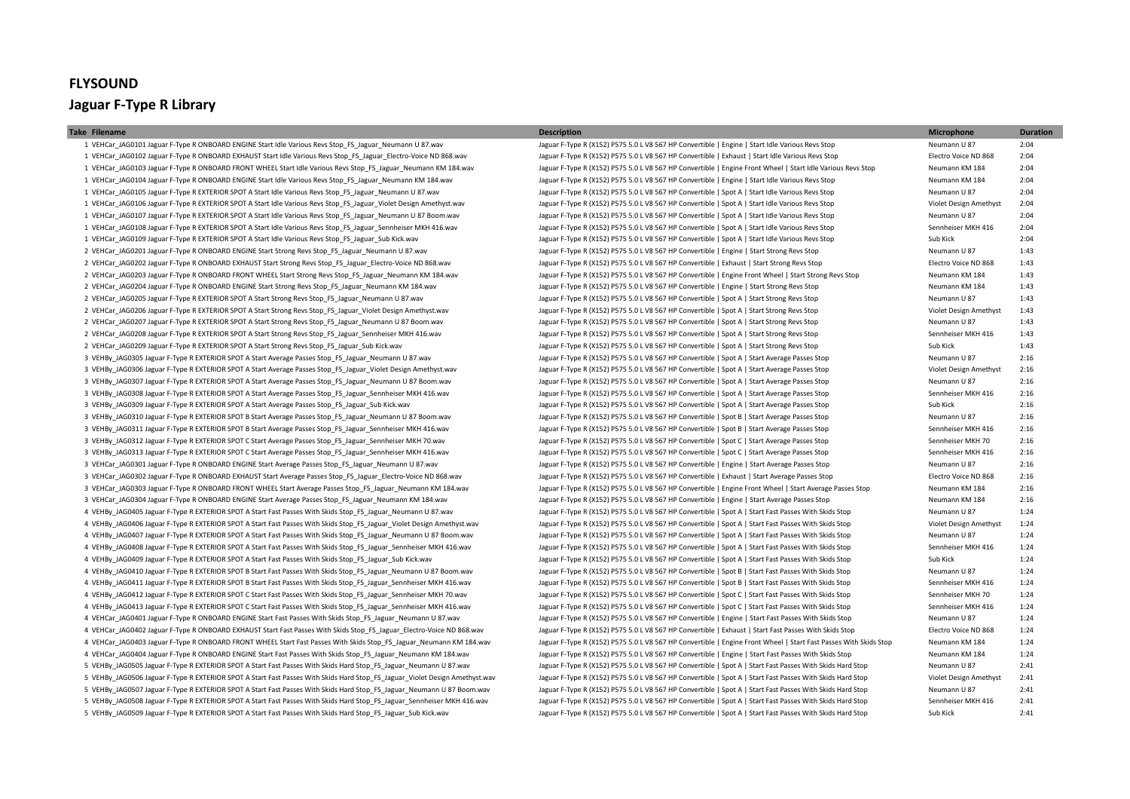## **FLYSOUND Jaguar F-Type R Library**

1 VEHCar\_JAG0101 Jaguar F-Type R ONBOARD ENGINE Start Idle Various Revs Stop\_FS\_Jaguar\_Neumann U 87.wav Jaguar F-Type R (X152) P575 5.0 L V8 567 HP Convertible | Engine | Start Idle Various Revs Stop Neumann U 87 2:04 1 VEHCar JAG0102 Jaguar F-Type R ONBOARD EXHAUST Start Idle Various Revs Stop FS Jaguar Electro-Voice ND 868.wav Jaguar F-Type R (X152) P575 5.0 L V8 567 HP Convertible | Exhaust | Start Idle Various Revs Stop Electro Voic 1 VEHCar JAG0103 Jaguar F-Type R ONBOARD FRONT WHEEL Start Idle Various Reys Stop FS Jaguar Neumann KM 184 way Jaguar F-Type R (X152) P575 5.0 L V8 567 HP Convertible | Engine Front Wheel | Start Idle Various Reys Stop Neu 1 VEHCar\_JAG0104 Jaguar F-Type R ONBOARD ENGINE Start Idle Various Revs Stop\_FS\_Jaguar\_Neumann KM 184.wav Jaguar F-Type R (X152) P575 5.0 L V8 567 HP Convertible | Engine | Start Idle Various Revs Stop Neumann KM 184 2:04 1 VEHCar\_JAG0105 Jaguar F-Type R EXTERIOR SPOT A Start Idle Various Revs Stop\_FS\_Jaguar\_Neumann U 87.wav Jaguar F-Type R (X152) P575 5.0 L V8 567 HP Convertible | Spot A | Start Idle Various Revs Stop Neumann U 87 2:04 1 VEHCar JAG0106 Jaguar F-Type R EXTERIOR SPOT A Start Idle Various Revs Stop\_FS\_Jaguar\_Violet Design Amethyst.wav Jaguar F-Type R (X152) P575 5.0 L V8 567 HP Convertible | Spot A | Start Idle Various Revs Stop Wiolet Desi 1 VEHCar\_JAG0107 Jaguar F-Type R EXTERIOR SPOT A Start Idle Various Revs Stop\_FS\_Jaguar\_Neumann U 87 Boom.wav Jaguar F-Type R (X152) P575 5.0 L V8 567 HP Convertible | Spot A | Start Idle Various Revs Stop Neumann U 87 2:04 1 VEHCar JAG0108 Jaguar F-Type R EXTERIOR SPOT A Start Idle Various Revs Stop FS Jaguar Sennheiser MKH 416.wav Jaguar F-Type R (X152) P575 5.0 L V8 567 HP Convertible | Spot A | Start Idle Various Revs Stop MKH 416 2:04 1 VEHCar\_JAG0109 Jaguar F-Type R EXTERIOR SPOT A Start Idle Various Revs Stop\_FS\_Jaguar\_Sub Kick.wav Jaguar F-Type R (X152) P575 5.0 L V8 567 HP Convertible | Spot A | Start Idle Various Revs Stop Sub Kick 2:04 2 VEHCar\_JAG0201 Jaguar F-Type R ONBOARD ENGINE Start Strong Revs Stop\_FS\_Jaguar\_Neumann U 87.wav Jaguar F-Type R (X152) P575 5.0 L V8 567 HP Convertible | Engine | Start Strong Revs Stop Neumann U 87 Neumann U 87 1:43 2 VEHCar\_JAG0202 Jaguar F-Type R ONBOARD EXHAUST Start Strong Revs Stop\_FS\_Jaguar\_Electro-Voice ND 868.wav Jaguar F-Type R (X152) P575 5.0 L V8 567 HP Convertible | Exhaust | Start Strong Revs Stop Electro Voice ND 868 1:43 2 VEHCar JAG0203 Jaguar F-Type R ONBOARD FRONT WHEEL Start Strong Revs Stop FS Jaguar Neumann KM 184 avav Jaguar F-Type R (X152) P575 5.0 L V8 567 HP Convertible | Engine Front Wheel | Start Strong Revs Stop Neumann KM 184 2 VEHCar\_JAG0204 Jaguar F-Type R ONBOARD ENGINE Start Strong Revs Stop\_FS\_Jaguar\_Neumann KM 184.wav Jaguar F-Type R (X152) P575 5.0 L V8 567 HP Convertible | Engine | Start Strong Revs Stop Neumann KM 184 1:43 2 VEHCar\_JAG0205 Jaguar F-Type R EXTERIOR SPOT A Start Strong Revs Stop\_FS\_Jaguar\_Neumann U 87.wav Jaguar Neumann U 87.wav Jaguar F-Type R (X152) P575 5.0 L V8 567 HP Convertible | Spot A | Start Strong Revs Stop Neumann U 2 VEHCar JAG0206 Jaguar F-Type R EXTERIOR SPOT A Start Strong Revs Stop FS Jaguar Violet Design Amethyst.wav Jaguar F-Type R (X152) P575 5.0 L V8 567 HP Convertible | Spot A | Start Strong Revs Stop Wolet Design Amethyst 1 2 VEHCar\_JAG0207 Jaguar F-Type R EXTERIOR SPOT A Start Strong Revs Stop\_FS\_Jaguar\_Neumann U 87 Boom.wav Jaguar F-Type R (X152) P575 5.0 L V8 567 HP Convertible | Spot A | Start Strong Revs Stop Neumann U 87 1:43 2 VEHCar\_JAG0208 Jaguar F-Type R EXTERIOR SPOT A Start Strong Revs Stop\_FS\_Jaguar\_Sennheiser MKH 416.wav Jaguar F-Type R (X152) P575 5.0 L V8 567 HP Convertible | Spot A | Start Strong Revs Stop Sennheiser MKH 416 1:43 2 VEHCar\_JAG0209 Jaguar F-Type R EXTERIOR SPOT A Start Strong Revs Stop\_FS\_Jaguar Sub Kick.wav Jaguar Sub Kick Jaguar F-Type R (X152) P575 5.0 L V8 567 HP Convertible | Spot A | Start Strong Revs Stop Sub Kick Stick 1:43 3 VEHBy\_JAG0305 Jaguar F-Type R EXTERIOR SPOT A Start Average Passes Stop\_FS\_Jaguar\_Neumann U 87.wav Jaguar F-Type R (X152) P575 5.0 L V8 567 HP Convertible | Spot A | Start Average Passes Stop Neumann U 87 2:16 3 VEHBy JAG0306 Jaguar F-Type R EXTERIOR SPOT A Start Average Passes Stop FS Jaguar Violet Design Amethyst.wav Jaguar F-Type R (X152) P575 5.0 L V8 567 HP Convertible | Spot A | Start Average Passes Stop Violet Design Amet 3 VEHBy JAG0307 Jaguar F-Type R EXTERIOR SPOT A Start Average Passes Stop FS\_Jaguar\_Neumann U 87 Boom.wav Jaguar F-Type R (X152) P575 5.0 L V8 567 HP Convertible | Spot A | Start Average Passes Stop Neumann U 87 2:16 3 VEHBy\_JAG0308 Jaguar F-Type R EXTERIOR SPOT A Start Average Passes Stop\_FS\_Jaguar\_Sennheiser MKH 416.wav Jaguar F-Type R (X152) P575 5.0 L V8 567 HP Convertible | Spot A | Start Average Passes Stop Sennheiser MKH 416 2:16 3 VEHBy JAG0309 Jaguar F-Type R EXTERIOR SPOT A Start Average Passes Stop FS Jaguar Sub Kick.wav Jaguar F-Type R (X152) P575 5.0 L V8 567 HP Convertible | Spot A | Start Average Passes Stop Sub Kick Start Average Passes St 3 VEHBy JAG0310 Jaguar F-Type R EXTERIOR SPOT B Start Average Passes Stop FS\_Jaguar Neumann U 87 Boom.wav Jaguar F-Type R (X152) P575 5.0 L V8 567 HP Convertible | Spot B | Start Average Passes Stop Neumann U 87 2:16 3 VEHBy\_JAG0311 Jaguar F-Type R EXTERIOR SPOT B Start Average Passes Stop\_FS\_Jaguar\_Sennheiser MKH 416.wav Jaguar F-Type R (X152) P575 5.0 L V8 567 HP Convertible | Spot B | Start Average Passes Stop Sennheiser MKH 416 2:16 3 VEHBy\_JAG0312 Jaguar F-Type R EXTERIOR SPOT C Start Average Passes Stop\_FS\_Jaguar\_Sennheiser MKH 70.wav Jaguar F-Type R (X152) P575 5.0 L V8 567 HP Convertible | Spot C | Start Average Passes Stop Sennheiser MKH 70 2:16 3 VEHBy\_JAG0313 Jaguar F-Type R EXTERIOR SPOT C Start Average Passes Stop\_FS\_Jaguar\_Sennheiser MKH 416.wav Jaguar F-Type R (X152) P575 5.0 L V8 567 HP Convertible | Spot C | Start Average Passes Stop Sennheiser MKH 416 2:16 3 VEHCar\_JAG0301 Jaguar F-Type R ONBOARD ENGINE Start Average Passes Stop\_FS\_Jaguar\_Neumann U 87.wav Jaguar F-Type R (X152) P575 5.0 L V8 567 HP Convertible | Engine | Start Average Passes Stop Neumann U 87 2:16 3 VEHCar JAG0302 Jaguar F-Type R ONBOARD EXHAUST Start Average Passes Stop FS Jaguar Electro-Voice ND 868.wav Jaguar F-Type R (X152) P575 5.0 L V8 567 HP Convertible | Exhaust | Start Average Passes Stop Sas Electro Voice 3 VEHCar JAG0303 Jaguar F-Type R ONBOARD FRONT WHEEL Start Average Passes Stop FS Jaguar Neumann KM 184 way Jaguar F-Type R (X152) P575 5.0 L V8 567 HP Convertible | Engine Front Wheel | Start Average Stop Neumann KM 184 2 3 VEHCar\_JAG0304 Jaguar F-Type R ONBOARD ENGINE Start Average Passes Stop\_FS\_Jaguar\_Neumann KM 184.wav Jaguar F-Type R (X152) P575 5.0 L V8 567 HP Convertible | Engine | Start Average Passes Stop Neumann KM 184 2:16 4 VEHBy JAG0405 Jaguar F-Type R EXTERIOR SPOT A Start Fast Passes With Skids Stop FS Jaguar Neumann U 87 wav Jaguar F-Type R (X152) P575 5.0 L V8 567 HP Convertible | Spot A | Start Fast Passes With Skids Stop Meumann U 87 4 VEHBy\_JAG0406 Jaguar F-Type R EXTERIOR SPOT A Start Fast Passes With Skids Stop\_FS\_Jaguar\_Violet Design Amethyst.wav Jaguar F-Type R (X152) P575 5.0 L V8 567 HP Convertible | Spot A | Start Fast Passes With Skids Stop Vi 4 VEHBy JAG0407 Jaguar F-Tvpe R EXTERIOR SPOT A Start Fast Passes With Skids Stop FS Jaguar Neumann U 87 Boom way Jaguar F-Tvpe R (X152) P575 5.0 L V8 567 HP Convertible | Spot A | Start Fast Passes With Skids Stop Start F 4 VEHBy JAG0408 Jaguar F-Type R EXTERIOR SPOT A Start Fast Passes With Skids Stop\_FS\_Jaguar\_Sennheiser MKH 416.wav Jaguar F-Type R (X152) P575 5.0 L V8 567 HP Convertible | Spot A | Start Fast Passes With Skids Stop Sennhe 4 VEHBy JAG0409 Jaguar F-Type R EXTERIOR SPOT A Start Fast Passes With Skids Stop\_FS\_Jaguar\_Sub Kick.wav Jaguar F-Type R (X152) P575 5.0 L V8 567 HP Convertible | Spot A | Start Fast Passes With Skids Stop Sub Kick 1:24 Su 4 VEHBy\_JAG0410 Jaguar F-Type R EXTERIOR SPOT B Start Fast Passes With Skids Stop\_FS\_Jaguar\_Neumann U 87 Boom.wav Jaguar F-Type R (X152) P575 5.0 L V8 567 HP Convertible | Spot B | Start Fast Passes With Skids Stop Meumann 4 VEHBy JAG0411 Jaguar F-Type R EXTERIOR SPOT B Start Fast Passes With Skids Stop FS Jaguar Sennheiser MKH 416.wav Jaguar F-Type R (X152) P575 5.0 L V8 567 HP Convertible | Spot B | Start Fast Passes With Skids Stop Exampl 4 VEHBv JAG0412 Jaguar F-Tvpe R EXTERIOR SPOT C Start Fast Passes With Skids Stop FS Jaguar Sennheiser MKH 70.way Jaguar F-Tvpe R (X152) P575 5.0 L V8 567 HP Convertible | Spot C | Start Fast Passes With Skids Stop Sennhei 4 VEHBy JAG0413 Jaguar F-Type R EXTERIOR SPOT C Start Fast Passes With Skids Stop FS Jaguar Sennheiser MKH 416.wav Jaguar F-Type R (X152) P575 5.0 L V8 567 HP Convertible | Spot C | Start Fast Passes With Skids Stop Sennhe 4 VFHCar JAG0401 Jaguar F-Type R ONBOARD ENGINE Start Fast Passes With Skids Stop ES Jaguar Neumann U 87 way Jaguar F-Type R (X152) P575 5.0 L V8 567 HP Convertible | Fragine | Start Fast Passes With Skids Stop Neumann U 8 4 VEHCar JAG0402 Jaguar F-Type R ONBOARD EXHAUST Start Fast Passes With Skids Stop FS Jaguar Electro-Voice ND 868.wav Jaguar F-Type R (X152) P575 5.0 L V8 567 HP Convertible | Exhaust | Start Fast Passes With Skids Stop El 4 VEHCar JAG0403 Jaguar F-Type R ONBOARD FRONT WHEEL Start Fast Passes With Skids Stop FS Jaguar Neumann KM 184,way Jaguar F-Type R (X152) P575 5.0 L V8 567 HP Convertible | Engine Front Wheel | Start Fast Passes With Skid 4 VEHCar\_JAG0404 Jaguar F-Type R ONBOARD ENGINE Start Fast Passes With Skids Stop\_FS\_Jaguar\_Neumann KM 184.wav Jaguar F-Type R (X152) P575 5.0 L V8 567 HP Convertible | Engine | Start Fast Passes With Skids Stop Neumann KM 5 VEHBv JAG0505 Jaguar F-Tvpe R EXTERIOR SPOT A Start Fast Passes With Skids Hard Stop FS Jaguar Neumann U 87 wav Jaguar F-Type R (X152) P575 5.0 L V8 567 HP Convertible | Spot A | Start Fast Passes With Skids Hard Stop Ne 5 VEHBy JAG0506 Jaguar F-Type R EXTERIOR SPOT A Start Fast Passes With Skids Hard Stop FS Jaguar Violet Design Amethyst wav Jaguar F-Type R (X152) P575 5.0 L V8 567 HP Convertible | Spot A | Start Fast Passes With Skids Ha 5 VEHBy JAG0507 Jaguar F-Type R EXTERIOR SPOT A Start Fast Passes With Skids Hard Stop FS Jaguar Neumann U 87 Boom.wav Jaguar F-Type R (X152) P575 5.0 L V8 567 HP Convertible | Spot A | Start Fast Passes With Skids Hard St 5 VEHBy JAG0508 Jaguar F-Type R EXTERIOR SPOT A Start Fast Passes With Skids Hard Stop FS Jaguar Sennheiser MKH 416.wav Jaguar F-Type R (X152) P575 5.0 L V8 567 HP Convertible | Spot A | Start Fast Passes With Skids Hard S 5 VEHBy JAG0509 Jaguar F-Type R EXTERIOR SPOT A Start Fast Passes With Skids Hard Stop FS Jaguar Sub Kickway Jaguar F-Type R (X152) P575 5.0 L V8 567 HP Convertible | Spot A | Start Fast Passes With Skids Hard Stop Sub Kic

## **Take Filename Description Microphone Duration**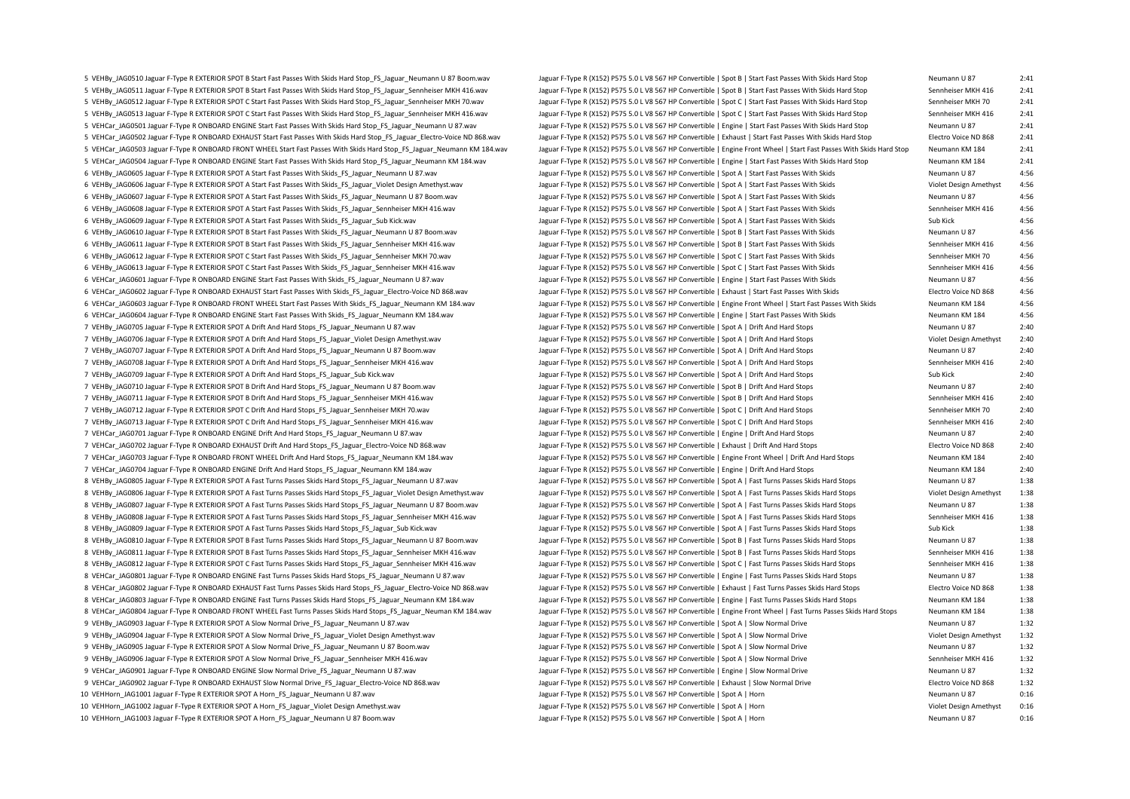5 VEHRy 1AGOS10 laguar E-Type R EXTERIOR SPOT B Start East Passes With Skids Hard Ston ES Laguar Neumann 1187 Room way laguar E-Type R (X152) PS75 5 0 1 V8 567 HP Convertible I Spot B I Start East Passes With Skids Hard St 5 VEHBy JAG0511 Jaguar F-Type R EXTERIOR SPOT B Start Fast Passes With Skids Hard Stop FS Jaguar Sennheiser MKH 416.way Jaguar F-Type R (X152) P575 5.0 L V8 567 HP Convertible | Spot B | Start Fast Passes With Skids Hard S 5 VEHBv JAG0512 Jaguar F-Tvpe R EXTERIOR SPOT C Start Fast Passes With Skids Hard Stop FS Jaguar Sennheiser MKH 70.wav Jaguar F-Type R (X152) P575 5.0 L V8 567 HP Convertible | Spot C | Start Fast Passes With Skids Hard St 5 VEHBy JAG0513 Jaguar F-Type R EXTERIOR SPOT C Start Fast Passes With Skids Hard Stop FS Jaguar Sennheiser MKH 416.wav Jaguar F-Type R (X152) P575 5.0 L V8 567 HP Convertible | Spot C | Start Fast Passes With Skids Hard S 5 VEHCar JAG0501 Jaguar F-Type R ONBOARD ENGINE Start Fast Passes With Skids Hard Stop FS Jaguar Neumann U 87 wav Jaguar F-Type R (X152) P575 5.0 L V8 567 HP Convertible | Engine | Start Fast Passes With Skids Hard Stop Ne 5 VEHCar JAG0502 Jaguar F-Type R ONBOARD EXHAUST Start Fast Passes With Skids Hard Stop FS Jaguar Electro-Voice ND 868.way Jaguar F-Type R (X152) P575 5.0 L V8 567 HP Convertible | Exhaust | Start Fast Passes With Skids Ha 5 VEHCar JAG0503 Jaguar F-Type R ONBOARD FRONT WHEEL Start Fast Passes With Skids Hard Stop FS Jaguar Neumann KM 184 wav Jaguar F-Type R (X152) P575 5.0 L V8 567 HP Convertible | Engine Front Wheel | Start Fast Passes With 5 VEHCar JAG0504 Jaguar F-Type R ONBOARD ENGINE Start Fast Passes With Skids Hard Stop\_FS\_Jaguar\_Neumann KM 184.wav Jaguar F-Type R (X152) P575 5.0 L V8 567 HP Convertible | Engine | Start Fast Passes With Skids Hard Stop 6 VEHBy\_JAG0605 Jaguar F-Type R EXTERIOR SPOT A Start Fast Passes With Skids\_FS\_Jaguar\_Neumann U 87.wav Jaguar F-Type R (X152) P575 5.0 L V8 567 HP Convertible | Spot A | Start Fast Passes With Skids Neumann U 87 4:56 6 VEHBy JAG0606 Jaguar F-Type R EXTERIOR SPOT A Start Fast Passes With Skids FS Jaguar Violet Design Amethyst association Content Design Amethyst and the Magaz F-Type R (X152) P575 5.0 L V8 567 HP Convertible | Spot A | St 6 VEHBy\_JAG0607 Jaguar F-Type R EXTERIOR SPOT A Start Fast Passes With Skids\_FS\_Jaguar\_Neumann U 87 Boom.wav Jaguar F-Type R (X152) P575 5.0 L V8 567 HP Convertible | Spot A | Start Fast Passes With Skids Neumann U 87 4:56 6 VEHBy JAG0608 Jaguar F-Type R EXTERIOR SPOT A Start Fast Passes With Skids FS Jaguar Sennheiser MKH 416.wav Jaguar F-Type R (X152) P575 5.0 L V8 567 HP Convertible | Spot A | Start Fast Passes With Skids Sennheiser MKH 4 6 VEHBy\_JAG0609 Jaguar F-Type R EXTERIOR SPOT A Start Fast Passes With Skids\_FS\_Jaguar\_Sub Kick.wav Jaguar F-Type R (X152) P575 5.0 L V8 567 HP Convertible | Spot A | Start Fast Passes With Skids Sub Kick 4:56 6 VEHBy\_JAG0610 Jaguar F-Type R EXTERIOR SPOT B Start Fast Passes With Skids\_FS\_Jaguar\_Neumann U 87 Boom.wav Jaguar F-Type R (X152) P575 5.0 L V8 567 HP Convertible | Spot B | Start Fast Passes With Skids Neumann U 87 4:56 6 VEHBy JAG0611 Jaguar F-Type R EXTERIOR SPOT B Start Fast Passes With Skids FS\_Jaguar\_Sennheiser MKH 416.wav Jaguar F-Type R (X152) P575 5.0 L V8 567 HP Convertible | Spot B | Start Fast Passes With Skids Sennheiser MKH 4 6 VEHBy JAG0612 Jaguar F-Type R EXTERIOR SPOT C Start Fast Passes With Skids FS Jaguar Sennheiser MKH 70.wav Jaguar F-Type R (X152) P575 5.0 L V8 567 HP Convertible | Spot C | Start Fast Passes With Skids Sennheiser MKH 70 6 VEHBy JAG0613 Jaguar F-Type R EXTERIOR SPOT C Start Fast Passes With Skids FS Jaguar Sennheiser MKH 416.wav Jaguar F-Type R (X152) P575 5.0 L V8 567 HP Convertible | Spot C | Start Fast Passes With Skids Sennheiser MKH 4 6 VEHCar\_JAG0601 Jaguar F-Type R ONBOARD ENGINE Start Fast Passes With Skids\_FS\_Jaguar\_Neumann U 87.wav Jaguar F-Type R (X152) P575 5.0 L V8 567 HP Convertible | Engine | Start Fast Passes With Skids Neumann U 87 4:56 6 VEHCar JAG0602 Jaguar F-Type R ONBOARD EXHAUST Start Fast Passes With Skids FS Jaguar Electro-Voice ND 868.wav Jaguar F-Type R (X152) P575 5.0 L V8 567 HP Convertible | Exhaust | Start Fast Passes With Skids Electro Voic 6 VEHCar JAG0603 Jaguar F-Type R ONBOARD FRONT WHEEL Start Fast Passes With Skids FS Jaguar Neumann KM 184 wav Jaguar F-Type R (X152) P575 5.0 L V8 567 HP Convertible | Engine Front Wheel | Start Fast Passes With Skids Meu 6 VEHCar\_JAG0604 Jaguar F-Type R ONBOARD ENGINE Start Fast Passes With Skids\_FS\_Jaguar\_Neumann KM 184.wav Jaguar F-Type R (X152) P575 5.0 L V8 567 HP Convertible | Engine | Start Fast Passes With Skids Neumann KM 184 4:56 7 VEHBy\_JAG0705 Jaguar F-Type R EXTERIOR SPOT A Drift And Hard Stops\_FS\_Jaguar\_Neumann U 87.wav Jaguar F-Type R (X152) P575 5.0 L V8 567 HP Convertible | Spot A | Drift And Hard Stops Neumann U 87 2:40 7 VEHBy\_JAG0706 Jaguar F-Type R EXTERIOR SPOT A Drift And Hard Stops\_FS\_Jaguar\_Violet Design Amethyst.wav Jaguar F-Type R (X152) P575 5.0 L V8 567 HP Convertible | Spot A | Drift And Hard Stops Violet Design Amethyst 2:40 7 VEHBy\_JAG0707 Jaguar F-Type R EXTERIOR SPOT A Drift And Hard Stops\_FS\_Jaguar\_Neumann U 87 Boom.wav Jaguar F-Type R (X152) P575 5.0 L V8 567 HP Convertible | Spot A | Drift And Hard Stops Neumann U 87 2:40 7 VEHBy\_JAG0708 Jaguar F-Type R EXTERIOR SPOT A Drift And Hard Stops\_FS\_Jaguar\_Sennheiser MKH 416.wav Jaguar F-Type R (X152) P575 5.0 L V8 567 HP Convertible | Spot A | Drift And Hard Stops Sennheiser MKH 416 2:40 7 VEHBy\_JAG0709 Jaguar F-Type R EXTERIOR SPOT A Drift And Hard Stops\_FS\_Jaguar\_Sub Kick.wav Jaguar F-Type R (X152) P575 5.0 L V8 567 HP Convertible | Spot A | Drift And Hard Stops Sub Kick 2:40 7 VEHBy\_JAG0710 Jaguar F-Type R EXTERIOR SPOT B Drift And Hard Stops\_FS\_Jaguar\_Neumann U 87 Boom.wav Jaguar F-Type R (X152) P575 5.0 L V8 567 HP Convertible | Spot B | Drift And Hard Stops Neumann U 87 2:40 7 VEHBy\_JAG0711 Jaguar F-Type R EXTERIOR SPOT B Drift And Hard Stops\_FS\_Jaguar\_Sennheiser MKH 416.wav Jaguar F-Type R (X152) P575 5.0 L V8 567 HP Convertible | Spot B | Drift And Hard Stops Sennheiser MKH 416 2:40 7 VEHBy\_JAG0712 Jaguar F-Type R EXTERIOR SPOT C Drift And Hard Stops\_FS\_Jaguar\_Sennheiser MKH 70.wav Jaguar F-Type R (X152) P575 5.0 L V8 567 HP Convertible | Spot C | Drift And Hard Stops Sennheiser MKH 70 2:40 7 VEHBy\_JAG0713 Jaguar F-Type R EXTERIOR SPOT C Drift And Hard Stops\_FS\_Jaguar\_Sennheiser MKH 416.wav Jaguar F-Type R (X152) P575 5.0 L V8 567 HP Convertible | Spot C | Drift And Hard Stops Sennheiser MKH 416 2:40 7 VEHCar\_JAG0701 Jaguar F-Type R ONBOARD ENGINE Drift And Hard Stops\_FS\_Jaguar\_Neumann U 87.wav Jaguar F-Type R (X152) P575 5.0 L V8 567 HP Convertible | Engine | Drift And Hard Stops Neumann U 87 2:40 7 VEHCar\_JAG0702 Jaguar F-Type R ONBOARD EXHAUST Drift And Hard Stops\_FS\_Jaguar\_Electro-Voice ND 868.wav Jaguar F-Type R (X152) P575 5.0 L V8 567 HP Convertible | Exhaust | Drift And Hard Stops Electro Voice ND 868 2:40 7 VEHCar\_JAG0703 Jaguar F-Type R ONBOARD FRONT WHEEL Drift And Hard Stops\_FS\_Jaguar\_Neumann KM 184.wav Jaguar F-Type R (X152) P575 5.0 L V8 567 HP Convertible | Engine Front Wheel | Drift And Hard Stops Neumann KM 184 2:40 7 VEHCar\_JAG0704 Jaguar F-Type R ONBOARD ENGINE Drift And Hard Stops\_FS\_Jaguar\_Neumann KM 184.wav Jaguar F-Type R (X152) P575 5.0 L V8 567 HP Convertible | Engine | Drift And Hard Stops Neumann KM 184 2:40 8 VEHBy JAG0805 Jaguar F-Type R EXTERIOR SPOT A Fast Turns Passes Skids Hard Stops FS Jaguar Neumann U 87.wav Jaguar F-Type R (X152) P575 5.0 L V8 567 HP Convertible | Spot A | Fast Turns Passes Skids Hard Stops Neumann U 8 VEHBy JAG0806 Jaguar F-Type R EXTERIOR SPOT A Fast Turns Passes Skids Hard Stops FS Jaguar Violet Design Amethyst.way Jaguar F-Type R (X152) P575 5.0 L V8 567 HP Convertible | Spot A | Fast Turns Passes Skids Hard Stops 8 VEHBy\_JAG0807 Jaguar F-Type R EXTERIOR SPOT A Fast Turns Passes Skids Hard Stops\_FS\_Jaguar\_Neumann U 87 Boom.wav Jaguar F-Type R (X152) P575 5.0 L V8 567 HP Convertible | Spot A | Fast Turns Passes Skids Hard Stops Neuma 8 VEHBy JAG0808 Jaguar F-Type R EXTERIOR SPOT A Fast Turns Passes Skids Hard Stops FS Jaguar Sennheiser MKH 416.wav Jaguar F-Type R (X152) P575 5.0 L V8 567 HP Convertible | Spot A | Fast Turns Passes Skids Hard Stops Senn 8 VEHBy\_JAG0809 Jaguar F-Type R EXTERIOR SPOT A Fast Turns Passes Skids Hard Stops\_FS\_Jaguar\_Sub Kick.wav Jaguar F-Type R (X152) P575 5.0 L V8 567 HP Convertible | Spot A | Fast Turns Passes Skids Hard Stops Sub Kick 1:38 8 VEHBy JAG0810 Jaguar F-Type R EXTERIOR SPOT B Fast Turns Passes Skids Hard Stops FS Jaguar Neumann U 87 Boom.wav Jaguar F-Type R (X152) P575 5.0 L V8 567 HP Convertible | Spot B | Fast Turns Passes Skids Hard Stops Neuma 8 VEHBv JAG0811 Jaguar F-Tvpe R EXTERIOR SPOT B Fast Turns Passes Skids Hard Stops FS Jaguar Sennheiser MKH 416.wav Jaguar F-Type R (X152) P575 5.0 L V8 567 HP Convertible | Spot B | Fast Turns Passes Skids Hard Stops Shin 8 VEHBy JAG0812 Jaguar F-Type R EXTERIOR SPOT C Fast Turns Passes Skids Hard Stops FS Jaguar Sennheiser MKH 416.wav Jaguar F-Type R (X152) P575 5.0 L V8 567 HP Convertible | Spot C | Fast Turns Passes Skids Hard Stops Senn 8 VEHCar JAG0801 Jaguar F-Type R ONBOARD ENGINE Fast Turns Passes Skids Hard Stops FS Jaguar Neumann U 87 way Jaguar F-Type R (X152) P575 5.0 L V8 567 HP Convertible | Engine | Fast Turns Passes Skids Hard Stops Neumann U 8 VEHCar JAG0802 Jaguar F-Type R ONBOARD EXHAUST Fast Turns Passes Skids Hard Stops FS Jaguar Electro-Voice ND 868.wav Jaguar F-Type R (X152) P575 5.0 L V8 567 HP Convertible | Exhaust | Fast Turns Passes Skids Hard Stops 8 VEHCar JAG0803 Jaguar F-Type R ONBOARD ENGINE Fast Turns Passes Skids Hard Stops FS Jaguar Neumann KM 184 wav Jaguar F-Type R (X152) P575 5.0 L V8 567 HP Convertible | Engine | Fast Turns Passes Skids Hard Stops Neumann 8 VEHCar JAG0804 Jaguar F-Type R ONBOARD FRONT WHEEL Fast Turns Passes Skids Hard Stops FS Jaguar Neuman KM 184.wav Jaguar F-Type R (X152) P575 5.0 L V8 567 HP Convertible | Engine Front Wheel | Fast Turns Passes Skids Har 9 VEHBy\_JAG0903 Jaguar F-Type R EXTERIOR SPOT A Slow Normal Drive\_FS\_Jaguar\_Neumann U 87.wav Jaguar Neumann U 87.wav Jaguar F-Type R (X152) P575 5.0 L V8 567 HP Convertible | Spot A | Slow Normal Drive Neumann U 87 1:32 9 VEHBy\_JAG0904 Jaguar F-Type R EXTERIOR SPOT A Slow Normal Drive\_FS\_Jaguar\_Violet Design Amethyst.wav Jaguar F-Type R (X152) P575 5.0 L V8 567 HP Convertible | Spot A | Slow Normal Drive Violet Design Amethyst 1:32 9 VEHBy\_JAG0905 Jaguar F-Type R EXTERIOR SPOT A Slow Normal Drive\_FS\_Jaguar\_Neumann U 87 Boom.wav Jaguar F-Type R (X152) P575 5.0 L V8 567 HP Convertible | Spot A | Slow Normal Drive Neumann U 87 1:32 9 VEHBy\_JAG0906 Jaguar F-Type R EXTERIOR SPOT A Slow Normal Drive\_FS\_Jaguar\_Sennheiser MKH 416.wav Jaguar F-Type R (X152) P575 5.0 L V8 567 HP Convertible | Spot A | Slow Normal Drive Sennheiser MKH 416 1:32 9 VEHCar\_JAG0901 Jaguar F-Type R ONBOARD ENGINE Slow Normal Drive\_FS\_Jaguar\_Neumann U 87.wav Jaguar F-Type R (X152) P575 5.0 L V8 567 HP Convertible | Engine | Slow Normal Drive Neumann U 87 1:32 9 VEHCar\_JAG0902 Jaguar F-Type R ONBOARD EXHAUST Slow Normal Drive\_FS\_Jaguar\_Electro-Voice ND 868.wav Jaguar F-Type R (X152) P575 5.0 L V8 567 HP Convertible | Exhaust | Slow Normal Drive Electro Voice ND 868 1:32 10 VEHHorn\_JAG1001 Jaguar F-Type R EXTERIOR SPOT A Horn\_FS\_Jaguar Neumann U 87.wav Jaguar F-Type R (X152) P575 5.0 L V8 567 HP Convertible | Spot A | Horn Neumann U 87 Neumann U 87 0:16 10 VEHHorn\_JAG1002 Jaguar F-Type R EXTERIOR SPOT A Horn\_FS\_Jaguar\_Violet Design Amethyst.wav Jaguar F-Type R (X152) P575 5.0 L V8 567 HP Convertible | Spot A | Horn Violet Design Amethyst 0:16 10 VEHHorn JAG1003 Jaguar F-Type R EXTERIOR SPOT A Horn FS Jaguar Neumann U 87 Boom.wav Jaguar F-Type R (X152) P575 5.0 L V8 567 HP Convertible | Spot A | Horn Neumann U 87 0:16